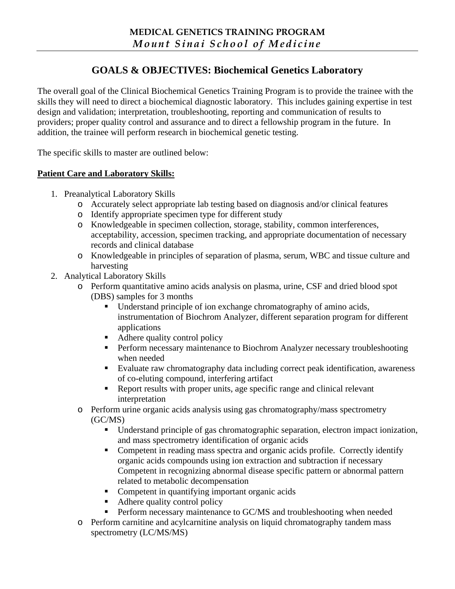# **GOALS & OBJECTIVES: Biochemical Genetics Laboratory**

The overall goal of the Clinical Biochemical Genetics Training Program is to provide the trainee with the skills they will need to direct a biochemical diagnostic laboratory. This includes gaining expertise in test design and validation; interpretation, troubleshooting, reporting and communication of results to providers; proper quality control and assurance and to direct a fellowship program in the future. In addition, the trainee will perform research in biochemical genetic testing.

The specific skills to master are outlined below:

## **Patient Care and Laboratory Skills:**

- 1. Preanalytical Laboratory Skills
	- o Accurately select appropriate lab testing based on diagnosis and/or clinical features
	- o Identify appropriate specimen type for different study
	- o Knowledgeable in specimen collection, storage, stability, common interferences, acceptability, accession, specimen tracking, and appropriate documentation of necessary records and clinical database
	- o Knowledgeable in principles of separation of plasma, serum, WBC and tissue culture and harvesting
- 2. Analytical Laboratory Skills
	- o Perform quantitative amino acids analysis on plasma, urine, CSF and dried blood spot (DBS) samples for 3 months
		- Understand principle of ion exchange chromatography of amino acids, instrumentation of Biochrom Analyzer, different separation program for different applications
		- Adhere quality control policy
		- **Perform necessary maintenance to Biochrom Analyzer necessary troubleshooting** when needed
		- Evaluate raw chromatography data including correct peak identification, awareness of co-eluting compound, interfering artifact
		- Report results with proper units, age specific range and clinical relevant interpretation
	- o Perform urine organic acids analysis using gas chromatography/mass spectrometry (GC/MS)
		- Understand principle of gas chromatographic separation, electron impact ionization, and mass spectrometry identification of organic acids
		- Competent in reading mass spectra and organic acids profile. Correctly identify organic acids compounds using ion extraction and subtraction if necessary Competent in recognizing abnormal disease specific pattern or abnormal pattern related to metabolic decompensation
		- Competent in quantifying important organic acids
		- Adhere quality control policy
		- Perform necessary maintenance to GC/MS and troubleshooting when needed
	- o Perform carnitine and acylcarnitine analysis on liquid chromatography tandem mass spectrometry (LC/MS/MS)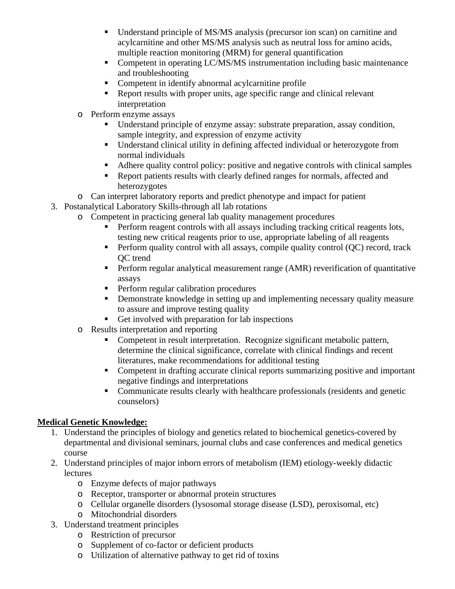- Understand principle of MS/MS analysis (precursor ion scan) on carnitine and acylcarnitine and other MS/MS analysis such as neutral loss for amino acids, multiple reaction monitoring (MRM) for general quantification
- Competent in operating LC/MS/MS instrumentation including basic maintenance and troubleshooting
- Competent in identify abnormal acylcarnitine profile
- Report results with proper units, age specific range and clinical relevant interpretation
- o Perform enzyme assays
	- Understand principle of enzyme assay: substrate preparation, assay condition, sample integrity, and expression of enzyme activity
	- Understand clinical utility in defining affected individual or heterozygote from normal individuals
	- Adhere quality control policy: positive and negative controls with clinical samples
	- Report patients results with clearly defined ranges for normals, affected and heterozygotes
- o Can interpret laboratory reports and predict phenotype and impact for patient
- 3. Postanalytical Laboratory Skills-through all lab rotations
	- o Competent in practicing general lab quality management procedures
		- Perform reagent controls with all assays including tracking critical reagents lots, testing new critical reagents prior to use, appropriate labeling of all reagents
		- Perform quality control with all assays, compile quality control  $(OC)$  record, track QC trend
		- **Perform regular analytical measurement range (AMR) reverification of quantitative** assays
		- **Perform regular calibration procedures**
		- Demonstrate knowledge in setting up and implementing necessary quality measure to assure and improve testing quality
		- Get involved with preparation for lab inspections
		- o Results interpretation and reporting
			- Competent in result interpretation. Recognize significant metabolic pattern, determine the clinical significance, correlate with clinical findings and recent literatures, make recommendations for additional testing
			- Competent in drafting accurate clinical reports summarizing positive and important negative findings and interpretations
			- Communicate results clearly with healthcare professionals (residents and genetic counselors)

# **Medical Genetic Knowledge:**

- 1. Understand the principles of biology and genetics related to biochemical genetics-covered by departmental and divisional seminars, journal clubs and case conferences and medical genetics course
- 2. Understand principles of major inborn errors of metabolism (IEM) etiology-weekly didactic **lectures** 
	- o Enzyme defects of major pathways
	- o Receptor, transporter or abnormal protein structures
	- o Cellular organelle disorders (lysosomal storage disease (LSD), peroxisomal, etc)
	- o Mitochondrial disorders
- 3. Understand treatment principles
	- o Restriction of precursor
	- o Supplement of co-factor or deficient products
	- o Utilization of alternative pathway to get rid of toxins